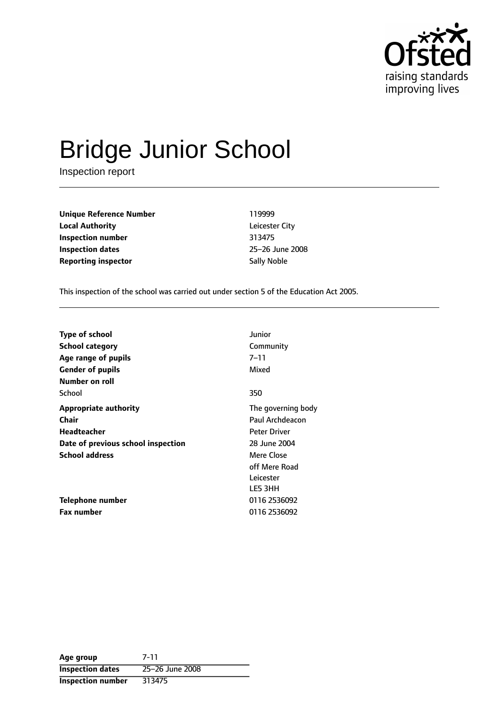

# Bridge Junior School

Inspection report

**Unique Reference Number** 119999 **Local Authority** Leicester City **Inspection number** 313475 **Inspection dates** 25-26 June 2008 **Reporting inspector** Sally Noble

This inspection of the school was carried out under section 5 of the Education Act 2005.

| <b>Type of school</b>              | Junior              |
|------------------------------------|---------------------|
| <b>School category</b>             | Community           |
| Age range of pupils                | 7–11                |
| <b>Gender of pupils</b>            | Mixed               |
| Number on roll                     |                     |
| School                             | 350                 |
| <b>Appropriate authority</b>       | The governing body  |
| Chair                              | Paul Archdeacon     |
| Headteacher                        | <b>Peter Driver</b> |
| Date of previous school inspection | 28 June 2004        |
| <b>School address</b>              | Mere Close          |
|                                    | off Mere Road       |
|                                    | Leicester           |
|                                    | LE5 3HH             |
| Telephone number                   | 0116 2536092        |
| <b>Fax number</b>                  | 0116 2536092        |

| Age group                | 7-11            |
|--------------------------|-----------------|
| <b>Inspection dates</b>  | 25-26 June 2008 |
| <b>Inspection number</b> | 313475          |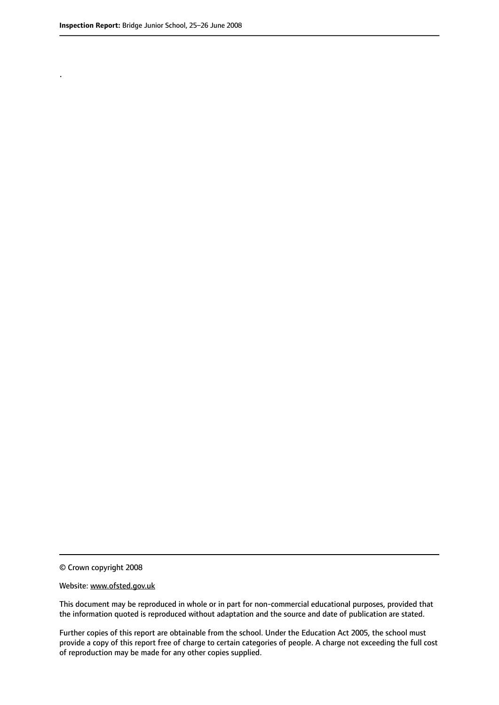.

© Crown copyright 2008

#### Website: www.ofsted.gov.uk

This document may be reproduced in whole or in part for non-commercial educational purposes, provided that the information quoted is reproduced without adaptation and the source and date of publication are stated.

Further copies of this report are obtainable from the school. Under the Education Act 2005, the school must provide a copy of this report free of charge to certain categories of people. A charge not exceeding the full cost of reproduction may be made for any other copies supplied.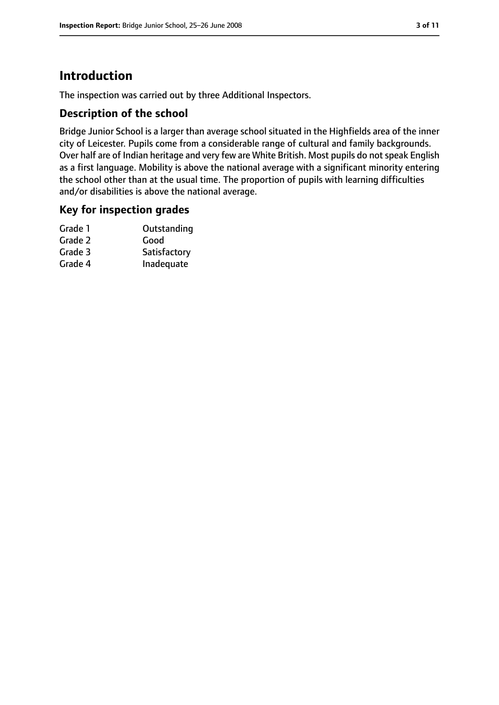# **Introduction**

The inspection was carried out by three Additional Inspectors.

## **Description of the school**

Bridge Junior School is a larger than average school situated in the Highfields area of the inner city of Leicester. Pupils come from a considerable range of cultural and family backgrounds. Over half are of Indian heritage and very few are White British. Most pupils do not speak English as a first language. Mobility is above the national average with a significant minority entering the school other than at the usual time. The proportion of pupils with learning difficulties and/or disabilities is above the national average.

### **Key for inspection grades**

| Grade 1 | Outstanding  |
|---------|--------------|
| Grade 2 | Good         |
| Grade 3 | Satisfactory |
| Grade 4 | Inadequate   |
|         |              |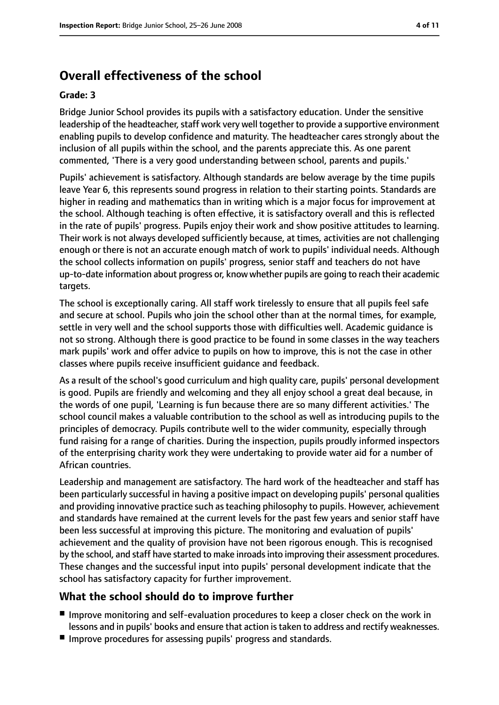# **Overall effectiveness of the school**

#### **Grade: 3**

Bridge Junior School provides its pupils with a satisfactory education. Under the sensitive leadership of the headteacher, staff work very well together to provide a supportive environment enabling pupils to develop confidence and maturity. The headteacher cares strongly about the inclusion of all pupils within the school, and the parents appreciate this. As one parent commented, 'There is a very good understanding between school, parents and pupils.'

Pupils' achievement is satisfactory. Although standards are below average by the time pupils leave Year 6, this represents sound progress in relation to their starting points. Standards are higher in reading and mathematics than in writing which is a major focus for improvement at the school. Although teaching is often effective, it is satisfactory overall and this is reflected in the rate of pupils' progress. Pupils enjoy their work and show positive attitudes to learning. Their work is not always developed sufficiently because, at times, activities are not challenging enough or there is not an accurate enough match of work to pupils' individual needs. Although the school collects information on pupils' progress, senior staff and teachers do not have up-to-date information about progress or, know whether pupils are going to reach their academic targets.

The school is exceptionally caring. All staff work tirelessly to ensure that all pupils feel safe and secure at school. Pupils who join the school other than at the normal times, for example, settle in very well and the school supports those with difficulties well. Academic guidance is not so strong. Although there is good practice to be found in some classes in the way teachers mark pupils' work and offer advice to pupils on how to improve, this is not the case in other classes where pupils receive insufficient guidance and feedback.

As a result of the school's good curriculum and high quality care, pupils' personal development is good. Pupils are friendly and welcoming and they all enjoy school a great deal because, in the words of one pupil, 'Learning is fun because there are so many different activities.' The school council makes a valuable contribution to the school as well as introducing pupils to the principles of democracy. Pupils contribute well to the wider community, especially through fund raising for a range of charities. During the inspection, pupils proudly informed inspectors of the enterprising charity work they were undertaking to provide water aid for a number of African countries.

Leadership and management are satisfactory. The hard work of the headteacher and staff has been particularly successful in having a positive impact on developing pupils' personal qualities and providing innovative practice such as teaching philosophy to pupils. However, achievement and standards have remained at the current levels for the past few years and senior staff have been less successful at improving this picture. The monitoring and evaluation of pupils' achievement and the quality of provision have not been rigorous enough. This is recognised by the school, and staff have started to make inroadsinto improving their assessment procedures. These changes and the successful input into pupils' personal development indicate that the school has satisfactory capacity for further improvement.

### **What the school should do to improve further**

- Improve monitoring and self-evaluation procedures to keep a closer check on the work in lessons and in pupils' books and ensure that action istaken to address and rectify weaknesses.
- Improve procedures for assessing pupils' progress and standards.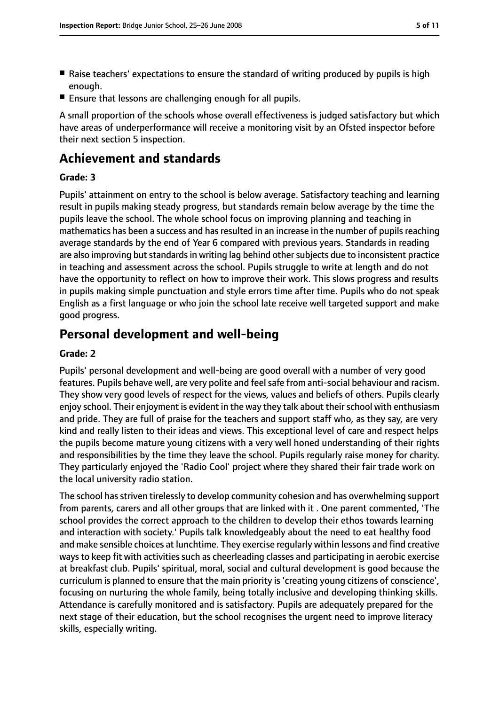- Raise teachers' expectations to ensure the standard of writing produced by pupils is high enough.
- Ensure that lessons are challenging enough for all pupils.

A small proportion of the schools whose overall effectiveness is judged satisfactory but which have areas of underperformance will receive a monitoring visit by an Ofsted inspector before their next section 5 inspection.

# **Achievement and standards**

#### **Grade: 3**

Pupils' attainment on entry to the school is below average. Satisfactory teaching and learning result in pupils making steady progress, but standards remain below average by the time the pupils leave the school. The whole school focus on improving planning and teaching in mathematics has been a success and has resulted in an increase in the number of pupils reaching average standards by the end of Year 6 compared with previous years. Standards in reading are also improving but standards in writing lag behind other subjects due to inconsistent practice in teaching and assessment across the school. Pupils struggle to write at length and do not have the opportunity to reflect on how to improve their work. This slows progress and results in pupils making simple punctuation and style errors time after time. Pupils who do not speak English as a first language or who join the school late receive well targeted support and make good progress.

# **Personal development and well-being**

#### **Grade: 2**

Pupils' personal development and well-being are good overall with a number of very good features. Pupils behave well, are very polite and feelsafe from anti-social behaviour and racism. They show very good levels of respect for the views, values and beliefs of others. Pupils clearly enjoy school. Their enjoyment is evident in the way they talk about their school with enthusiasm and pride. They are full of praise for the teachers and support staff who, as they say, are very kind and really listen to their ideas and views. This exceptional level of care and respect helps the pupils become mature young citizens with a very well honed understanding of their rights and responsibilities by the time they leave the school. Pupils regularly raise money for charity. They particularly enjoyed the 'Radio Cool' project where they shared their fair trade work on the local university radio station.

The school has striven tirelessly to develop community cohesion and has overwhelming support from parents, carers and all other groups that are linked with it . One parent commented, 'The school provides the correct approach to the children to develop their ethos towards learning and interaction with society.' Pupils talk knowledgeably about the need to eat healthy food and make sensible choices at lunchtime. They exercise regularly within lessons and find creative ways to keep fit with activities such as cheerleading classes and participating in aerobic exercise at breakfast club. Pupils' spiritual, moral, social and cultural development is good because the curriculum is planned to ensure that the main priority is 'creating young citizens of conscience', focusing on nurturing the whole family, being totally inclusive and developing thinking skills. Attendance is carefully monitored and is satisfactory. Pupils are adequately prepared for the next stage of their education, but the school recognises the urgent need to improve literacy skills, especially writing.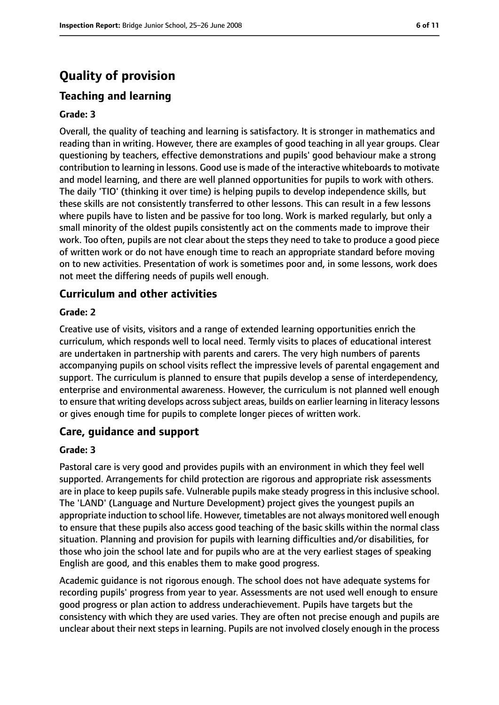# **Quality of provision**

## **Teaching and learning**

#### **Grade: 3**

Overall, the quality of teaching and learning is satisfactory. It is stronger in mathematics and reading than in writing. However, there are examples of good teaching in all year groups. Clear questioning by teachers, effective demonstrations and pupils' good behaviour make a strong contribution to learning in lessons. Good use is made of the interactive whiteboards to motivate and model learning, and there are well planned opportunities for pupils to work with others. The daily 'TIO' (thinking it over time) is helping pupils to develop independence skills, but these skills are not consistently transferred to other lessons. This can result in a few lessons where pupils have to listen and be passive for too long. Work is marked regularly, but only a small minority of the oldest pupils consistently act on the comments made to improve their work. Too often, pupils are not clear about the steps they need to take to produce a good piece of written work or do not have enough time to reach an appropriate standard before moving on to new activities. Presentation of work is sometimes poor and, in some lessons, work does not meet the differing needs of pupils well enough.

#### **Curriculum and other activities**

#### **Grade: 2**

Creative use of visits, visitors and a range of extended learning opportunities enrich the curriculum, which responds well to local need. Termly visits to places of educational interest are undertaken in partnership with parents and carers. The very high numbers of parents accompanying pupils on school visits reflect the impressive levels of parental engagement and support. The curriculum is planned to ensure that pupils develop a sense of interdependency, enterprise and environmental awareness. However, the curriculum is not planned well enough to ensure that writing develops across subject areas, builds on earlier learning in literacy lessons or gives enough time for pupils to complete longer pieces of written work.

### **Care, guidance and support**

#### **Grade: 3**

Pastoral care is very good and provides pupils with an environment in which they feel well supported. Arrangements for child protection are rigorous and appropriate risk assessments are in place to keep pupils safe. Vulnerable pupils make steady progress in this inclusive school. The 'LAND' (Language and Nurture Development) project gives the youngest pupils an appropriate induction to school life. However, timetables are not always monitored well enough to ensure that these pupils also access good teaching of the basic skills within the normal class situation. Planning and provision for pupils with learning difficulties and/or disabilities, for those who join the school late and for pupils who are at the very earliest stages of speaking English are good, and this enables them to make good progress.

Academic guidance is not rigorous enough. The school does not have adequate systems for recording pupils' progress from year to year. Assessments are not used well enough to ensure good progress or plan action to address underachievement. Pupils have targets but the consistency with which they are used varies. They are often not precise enough and pupils are unclear about their next steps in learning. Pupils are not involved closely enough in the process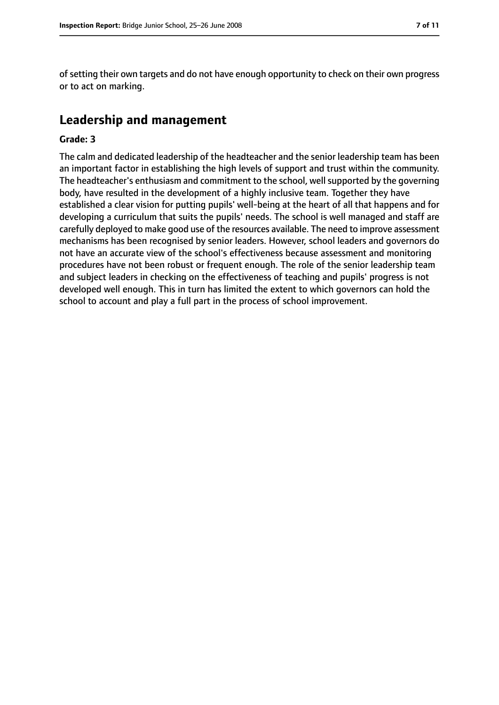of setting their own targets and do not have enough opportunity to check on their own progress or to act on marking.

# **Leadership and management**

#### **Grade: 3**

The calm and dedicated leadership of the headteacher and the senior leadership team has been an important factor in establishing the high levels of support and trust within the community. The headteacher's enthusiasm and commitment to the school, well supported by the governing body, have resulted in the development of a highly inclusive team. Together they have established a clear vision for putting pupils' well-being at the heart of all that happens and for developing a curriculum that suits the pupils' needs. The school is well managed and staff are carefully deployed to make good use of the resources available. The need to improve assessment mechanisms has been recognised by senior leaders. However, school leaders and governors do not have an accurate view of the school's effectiveness because assessment and monitoring procedures have not been robust or frequent enough. The role of the senior leadership team and subject leaders in checking on the effectiveness of teaching and pupils' progress is not developed well enough. This in turn has limited the extent to which governors can hold the school to account and play a full part in the process of school improvement.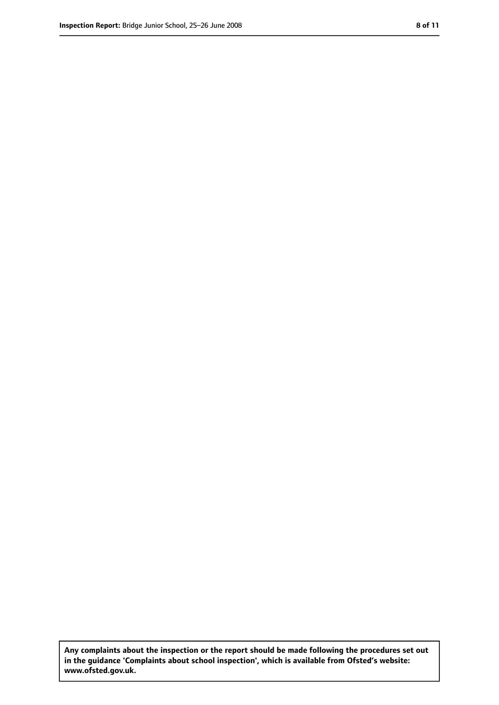**Any complaints about the inspection or the report should be made following the procedures set out in the guidance 'Complaints about school inspection', which is available from Ofsted's website: www.ofsted.gov.uk.**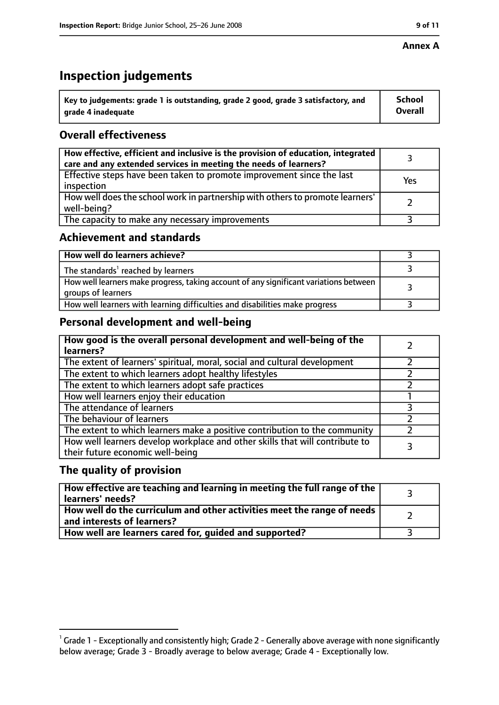#### **Annex A**

# **Inspection judgements**

| $^{\backprime}$ Key to judgements: grade 1 is outstanding, grade 2 good, grade 3 satisfactory, and | <b>School</b>  |
|----------------------------------------------------------------------------------------------------|----------------|
| arade 4 inadequate                                                                                 | <b>Overall</b> |

## **Overall effectiveness**

| How effective, efficient and inclusive is the provision of education, integrated<br>care and any extended services in meeting the needs of learners? |     |
|------------------------------------------------------------------------------------------------------------------------------------------------------|-----|
| Effective steps have been taken to promote improvement since the last<br>inspection                                                                  | Yes |
| How well does the school work in partnership with others to promote learners'<br>well-being?                                                         |     |
| The capacity to make any necessary improvements                                                                                                      |     |

## **Achievement and standards**

| How well do learners achieve?                                                                               |  |
|-------------------------------------------------------------------------------------------------------------|--|
| The standards <sup>1</sup> reached by learners                                                              |  |
| How well learners make progress, taking account of any significant variations between<br>groups of learners |  |
| How well learners with learning difficulties and disabilities make progress                                 |  |

# **Personal development and well-being**

| How good is the overall personal development and well-being of the<br>learners?                                  |  |
|------------------------------------------------------------------------------------------------------------------|--|
| The extent of learners' spiritual, moral, social and cultural development                                        |  |
| The extent to which learners adopt healthy lifestyles                                                            |  |
| The extent to which learners adopt safe practices                                                                |  |
| How well learners enjoy their education                                                                          |  |
| The attendance of learners                                                                                       |  |
| The behaviour of learners                                                                                        |  |
| The extent to which learners make a positive contribution to the community                                       |  |
| How well learners develop workplace and other skills that will contribute to<br>their future economic well-being |  |

## **The quality of provision**

| $\mid$ How effective are teaching and learning in meeting the full range of the $\mid$<br>learners' needs? |  |
|------------------------------------------------------------------------------------------------------------|--|
| How well do the curriculum and other activities meet the range of needs  <br>and interests of learners?    |  |
| How well are learners cared for, guided and supported?                                                     |  |

 $^1$  Grade 1 - Exceptionally and consistently high; Grade 2 - Generally above average with none significantly below average; Grade 3 - Broadly average to below average; Grade 4 - Exceptionally low.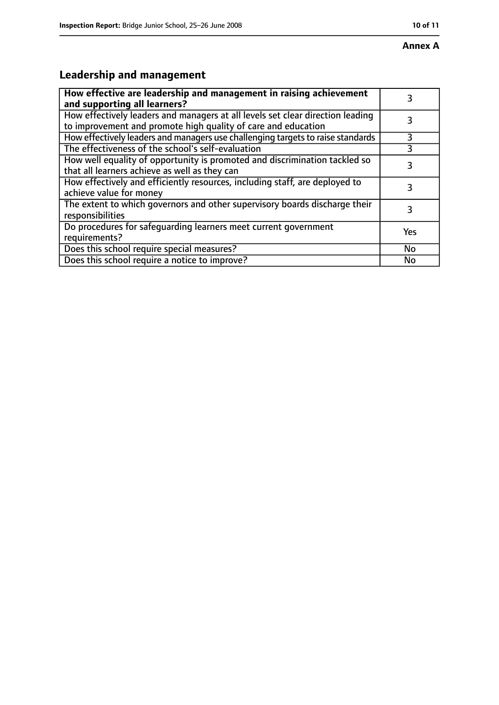# **Annex A**

# **Leadership and management**

| How effective are leadership and management in raising achievement<br>and supporting all learners?                                              |     |
|-------------------------------------------------------------------------------------------------------------------------------------------------|-----|
| How effectively leaders and managers at all levels set clear direction leading<br>to improvement and promote high quality of care and education |     |
| How effectively leaders and managers use challenging targets to raise standards                                                                 | 3   |
| The effectiveness of the school's self-evaluation                                                                                               | 3   |
| How well equality of opportunity is promoted and discrimination tackled so<br>that all learners achieve as well as they can                     | 3   |
| How effectively and efficiently resources, including staff, are deployed to<br>achieve value for money                                          | 3   |
| The extent to which governors and other supervisory boards discharge their<br>responsibilities                                                  | 3   |
| Do procedures for safequarding learners meet current government<br>requirements?                                                                | Yes |
| Does this school require special measures?                                                                                                      | No  |
| Does this school require a notice to improve?                                                                                                   | No  |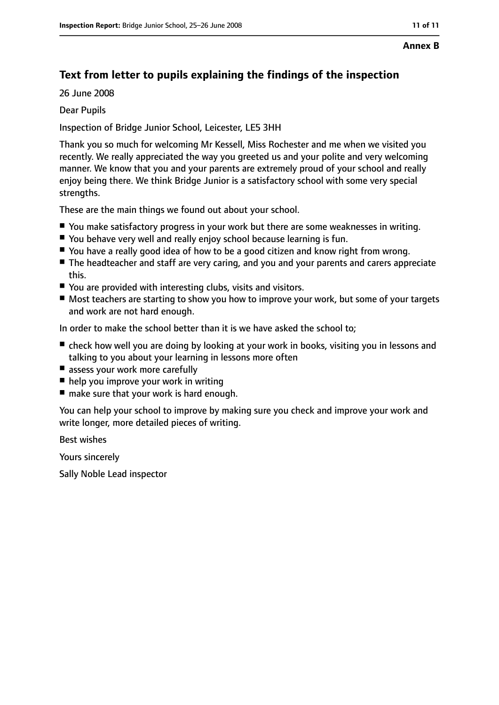#### **Annex B**

# **Text from letter to pupils explaining the findings of the inspection**

26 June 2008

Dear Pupils

Inspection of Bridge Junior School, Leicester, LE5 3HH

Thank you so much for welcoming Mr Kessell, Miss Rochester and me when we visited you recently. We really appreciated the way you greeted us and your polite and very welcoming manner. We know that you and your parents are extremely proud of your school and really enjoy being there. We think Bridge Junior is a satisfactory school with some very special strengths.

These are the main things we found out about your school.

- You make satisfactory progress in your work but there are some weaknesses in writing.
- You behave very well and really enjoy school because learning is fun.
- You have a really good idea of how to be a good citizen and know right from wrong.
- The headteacher and staff are very caring, and you and your parents and carers appreciate this.
- You are provided with interesting clubs, visits and visitors.
- Most teachers are starting to show you how to improve your work, but some of your targets and work are not hard enough.

In order to make the school better than it is we have asked the school to;

- check how well you are doing by looking at your work in books, visiting you in lessons and talking to you about your learning in lessons more often
- assess your work more carefully
- help you improve your work in writing
- make sure that your work is hard enough.

You can help your school to improve by making sure you check and improve your work and write longer, more detailed pieces of writing.

Best wishes

Yours sincerely

Sally Noble Lead inspector